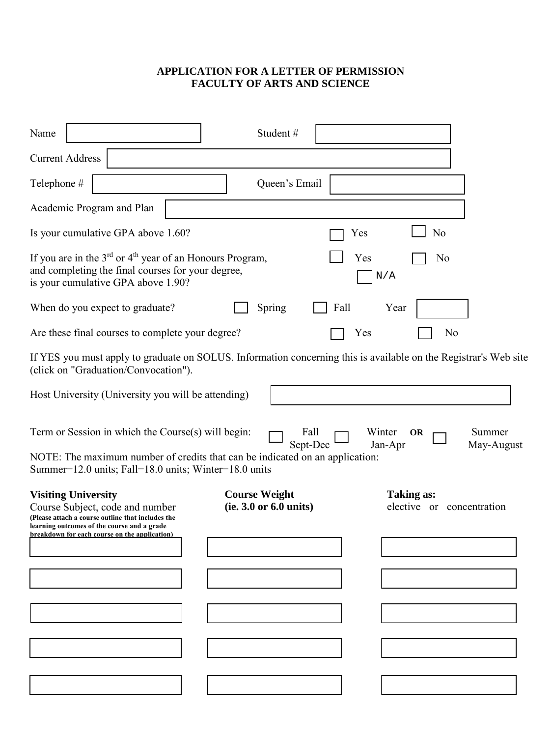## **APPLICATION FOR A LETTER OF PERMISSION FACULTY OF ARTS AND SCIENCE**

| Name                                                                                                                                                                                        | Student#               |                              |                      |
|---------------------------------------------------------------------------------------------------------------------------------------------------------------------------------------------|------------------------|------------------------------|----------------------|
| <b>Current Address</b>                                                                                                                                                                      |                        |                              |                      |
| Telephone #                                                                                                                                                                                 | Queen's Email          |                              |                      |
| Academic Program and Plan                                                                                                                                                                   |                        |                              |                      |
| Is your cumulative GPA above 1.60?                                                                                                                                                          |                        | N <sub>0</sub><br>Yes        |                      |
| If you are in the $3^{rd}$ or $4^{th}$ year of an Honours Program,<br>and completing the final courses for your degree,<br>is your cumulative GPA above 1.90?                               |                        | Yes<br>N <sub>0</sub><br>N/A |                      |
| When do you expect to graduate?                                                                                                                                                             | Spring<br>Fall         | Year                         |                      |
| Are these final courses to complete your degree?                                                                                                                                            |                        | Yes<br>N <sub>0</sub>        |                      |
| If YES you must apply to graduate on SOLUS. Information concerning this is available on the Registrar's Web site<br>(click on "Graduation/Convocation").                                    |                        |                              |                      |
| Host University (University you will be attending)                                                                                                                                          |                        |                              |                      |
| Term or Session in which the Course(s) will begin:<br>NOTE: The maximum number of credits that can be indicated on an application:<br>Summer=12.0 units; Fall=18.0 units; Winter=18.0 units | Fall<br>Sept-Dec       | Winter<br>OR<br>Jan-Apr      | Summer<br>May-August |
| <b>Visiting University</b>                                                                                                                                                                  | <b>Course Weight</b>   | <b>Taking as:</b>            |                      |
| Course Subject, code and number<br>(Please attach a course outline that includes the<br>learning outcomes of the course and a grade<br>breakdown for each course on the application)        | (ie. 3.0 or 6.0 units) | elective or concentration    |                      |
|                                                                                                                                                                                             |                        |                              |                      |
|                                                                                                                                                                                             |                        |                              |                      |
|                                                                                                                                                                                             |                        |                              |                      |
|                                                                                                                                                                                             |                        |                              |                      |
|                                                                                                                                                                                             |                        |                              |                      |
|                                                                                                                                                                                             |                        |                              |                      |